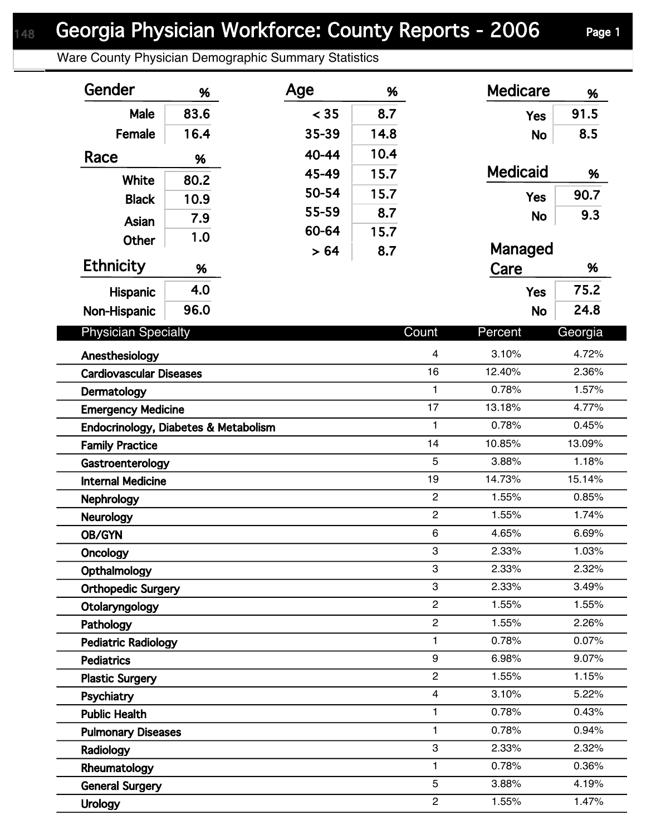Ware County Physician Demographic Summary Statistics

| Gender                               | %           | Age   | %            |                | <b>Medicare</b> | %       |  |
|--------------------------------------|-------------|-------|--------------|----------------|-----------------|---------|--|
| <b>Male</b>                          | 83.6        | < 35  | 8.7          |                | <b>Yes</b>      | 91.5    |  |
| Female                               | 16.4        | 35-39 | 14.8         |                | <b>No</b>       | 8.5     |  |
| Race                                 | %           | 40-44 | 10.4         |                |                 |         |  |
|                                      |             | 45-49 | 15.7         |                | <b>Medicaid</b> | %       |  |
| <b>White</b>                         | 80.2        | 50-54 | 15.7         |                | <b>Yes</b>      | 90.7    |  |
| <b>Black</b>                         | 10.9        | 55-59 | 8.7          |                |                 | 9.3     |  |
| Asian                                | 7.9         | 60-64 | 15.7         |                | <b>No</b>       |         |  |
| <b>Other</b>                         | 1.0<br>> 64 |       | 8.7          |                | Managed         |         |  |
| <b>Ethnicity</b>                     | %           |       |              |                | Care            | %       |  |
| <b>Hispanic</b>                      | 4.0         |       |              |                | <b>Yes</b>      | 75.2    |  |
| Non-Hispanic                         | 96.0        |       |              |                | <b>No</b>       | 24.8    |  |
|                                      |             |       |              |                |                 |         |  |
| <b>Physician Specialty</b>           |             |       |              | Count          | Percent         | Georgia |  |
| Anesthesiology                       |             |       |              | 4              | 3.10%           | 4.72%   |  |
| <b>Cardiovascular Diseases</b>       |             |       | 16           | 12.40%         | 2.36%           |         |  |
| Dermatology                          |             |       | $\mathbf{1}$ | 0.78%          | 1.57%           |         |  |
| <b>Emergency Medicine</b>            |             |       |              | 17             | 13.18%          | 4.77%   |  |
| Endocrinology, Diabetes & Metabolism |             |       |              | $\mathbf{1}$   | 0.78%           | 0.45%   |  |
| <b>Family Practice</b>               |             |       |              | 14             | 10.85%          | 13.09%  |  |
| Gastroenterology                     |             |       | 5            | 3.88%          | 1.18%           |         |  |
| <b>Internal Medicine</b>             |             |       |              | 19             | 14.73%          | 15.14%  |  |
| <b>Nephrology</b>                    |             |       |              | $\overline{2}$ | 1.55%           | 0.85%   |  |
| Neurology                            |             |       |              | $\overline{2}$ | 1.55%           | 1.74%   |  |
| OB/GYN                               |             |       |              | 6              | 4.65%           | 6.69%   |  |
| Oncology                             |             |       | 3            | 2.33%          | 1.03%           |         |  |
| Opthalmology                         |             |       | 3            | 2.33%          | 2.32%           |         |  |
| <b>Orthopedic Surgery</b>            |             |       | 3            | 2.33%          | 3.49%           |         |  |
| Otolaryngology                       |             |       |              | $\overline{2}$ | 1.55%           | 1.55%   |  |
| Pathology                            |             |       |              | $\overline{c}$ | 1.55%           | 2.26%   |  |
| <b>Pediatric Radiology</b>           |             |       |              | $\mathbf{1}$   | 0.78%           | 0.07%   |  |
| <b>Pediatrics</b>                    |             |       |              | 9              | 6.98%           | 9.07%   |  |
| <b>Plastic Surgery</b>               |             |       |              | $\overline{2}$ | 1.55%           | 1.15%   |  |
| Psychiatry                           |             |       |              | $\overline{4}$ | 3.10%           | 5.22%   |  |
| <b>Public Health</b>                 |             |       |              | $\mathbf{1}$   | 0.78%           | 0.43%   |  |
| <b>Pulmonary Diseases</b>            |             |       |              | $\mathbf{1}$   | 0.78%           | 0.94%   |  |
| Radiology                            |             |       |              | 3              | 2.33%           | 2.32%   |  |
| Rheumatology                         |             |       |              | $\mathbf{1}$   | 0.78%           | 0.36%   |  |
| <b>General Surgery</b>               |             |       |              | 5              | 3.88%           | 4.19%   |  |
| <b>Urology</b>                       |             |       |              | $\overline{c}$ | 1.55%           | 1.47%   |  |